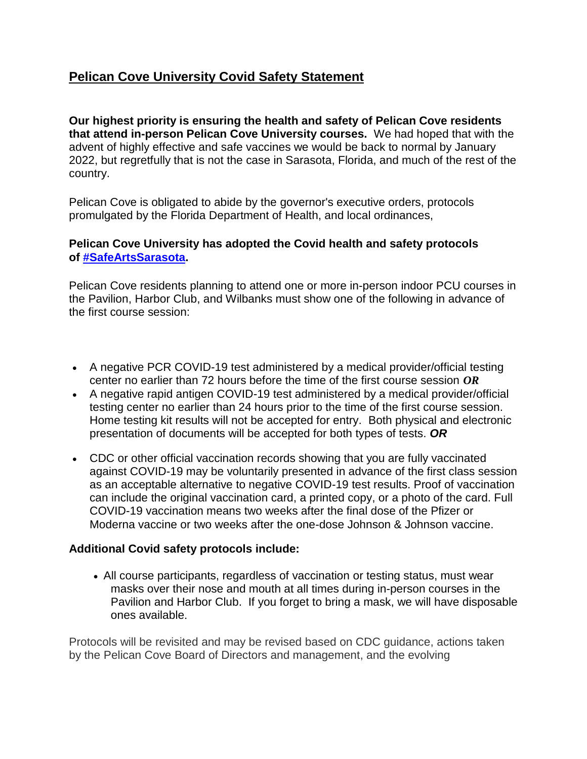## **Pelican Cove University Covid Safety Statement**

**Our highest priority is ensuring the health and safety of Pelican Cove residents that attend in-person Pelican Cove University courses.** We had hoped that with the advent of highly effective and safe vaccines we would be back to normal by January 2022, but regretfully that is not the case in Sarasota, Florida, and much of the rest of the country.

Pelican Cove is obligated to abide by the governor's executive orders, protocols promulgated by the Florida Department of Health, and local ordinances,

## **Pelican Cove University has adopted the Covid health and safety protocols of [#SafeArtsSarasota.](https://sarasotaarts.org/safeartssarasota-protocols-revised/)**

Pelican Cove residents planning to attend one or more in-person indoor PCU courses in the Pavilion, Harbor Club, and Wilbanks must show one of the following in advance of the first course session:

- A negative PCR COVID-19 test administered by a medical provider/official testing center no earlier than 72 hours before the time of the first course session *OR*
- A negative rapid antigen COVID-19 test administered by a medical provider/official testing center no earlier than 24 hours prior to the time of the first course session. Home testing kit results will not be accepted for entry. Both physical and electronic presentation of documents will be accepted for both types of tests. *OR*
- CDC or other official vaccination records showing that you are fully vaccinated against COVID-19 may be voluntarily presented in advance of the first class session as an acceptable alternative to negative COVID-19 test results. Proof of vaccination can include the original vaccination card, a printed copy, or a photo of the card. Full COVID-19 vaccination means two weeks after the final dose of the Pfizer or Moderna vaccine or two weeks after the one-dose Johnson & Johnson vaccine.

## **Additional Covid safety protocols include:**

 All course participants, regardless of vaccination or testing status, must wear masks over their nose and mouth at all times during in-person courses in the Pavilion and Harbor Club. If you forget to bring a mask, we will have disposable ones available.

Protocols will be revisited and may be revised based on CDC guidance, actions taken by the Pelican Cove Board of Directors and management, and the evolving